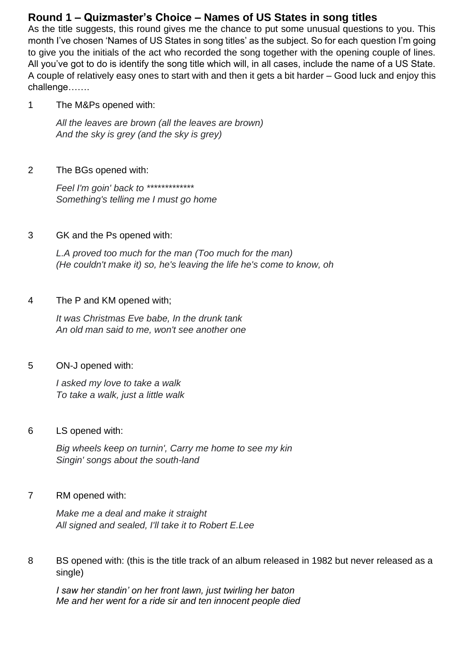## **Round 1 – Quizmaster's Choice – Names of US States in song titles**

As the title suggests, this round gives me the chance to put some unusual questions to you. This month I've chosen 'Names of US States in song titles' as the subject. So for each question I'm going to give you the initials of the act who recorded the song together with the opening couple of lines. All you've got to do is identify the song title which will, in all cases, include the name of a US State. A couple of relatively easy ones to start with and then it gets a bit harder – Good luck and enjoy this challenge…….

1 The M&Ps opened with:

*All the leaves are brown (all the leaves are brown) And the sky is grey (and the sky is grey)*

2 The BGs opened with:

*Feel I'm goin' back to \*\*\*\*\*\*\*\*\*\*\*\*\* Something's telling me I must go home*

3 GK and the Ps opened with:

*L.A proved too much for the man (Too much for the man) (He couldn't make it) so, he's leaving the life he's come to know, oh*

#### 4 The P and KM opened with;

*It was Christmas Eve babe, In the drunk tank An old man said to me, won't see another one*

### 5 ON-J opened with:

*I asked my love to take a walk To take a walk, just a little walk*

#### 6 LS opened with:

*Big wheels keep on turnin', Carry me home to see my kin Singin' songs about the south-land*

### 7 RM opened with:

*Make me a deal and make it straight All signed and sealed, I'll take it to Robert E.Lee*

8 BS opened with: (this is the title track of an album released in 1982 but never released as a single)

*I saw her standin' on her front lawn, just twirling her baton Me and her went for a ride sir and ten innocent people died*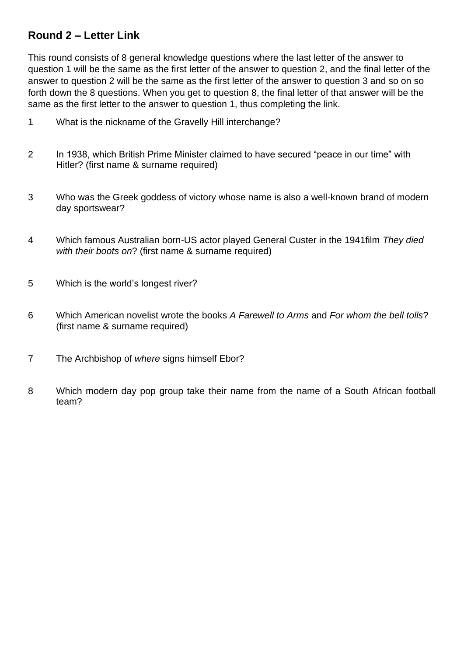# **Round 2 – Letter Link**

This round consists of 8 general knowledge questions where the last letter of the answer to question 1 will be the same as the first letter of the answer to question 2, and the final letter of the answer to question 2 will be the same as the first letter of the answer to question 3 and so on so forth down the 8 questions. When you get to question 8, the final letter of that answer will be the same as the first letter to the answer to question 1, thus completing the link.

- 1 What is the nickname of the Gravelly Hill interchange?
- 2 In 1938, which British Prime Minister claimed to have secured "peace in our time" with Hitler? (first name & surname required)
- 3 Who was the Greek goddess of victory whose name is also a well-known brand of modern day sportswear?
- 4 Which famous Australian born-US actor played General Custer in the 1941film *They died with their boots on*? (first name & surname required)
- 5 Which is the world's longest river?
- 6 Which American novelist wrote the books *A Farewell to Arms* and *For whom the bell tolls*? (first name & surname required)
- 7 The Archbishop of *where* signs himself Ebor?
- 8 Which modern day pop group take their name from the name of a South African football team?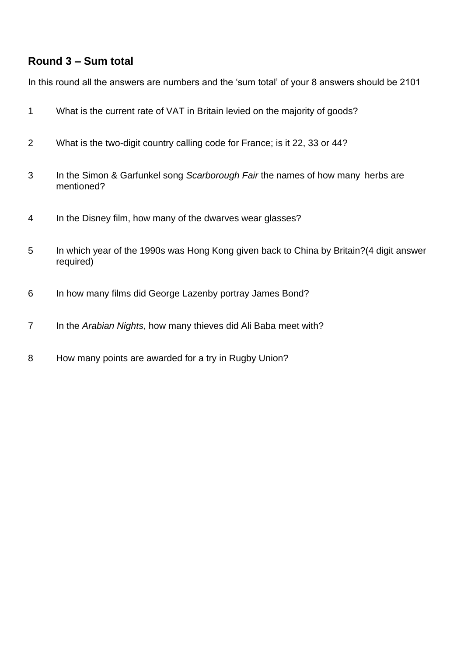## **Round 3 – Sum total**

In this round all the answers are numbers and the 'sum total' of your 8 answers should be 2101

- What is the current rate of VAT in Britain levied on the majority of goods?
- What is the two-digit country calling code for France; is it 22, 33 or 44?
- In the Simon & Garfunkel song *Scarborough Fair* the names of how many herbs are mentioned?
- In the Disney film, how many of the dwarves wear glasses?
- In which year of the 1990s was Hong Kong given back to China by Britain?(4 digit answer required)
- In how many films did George Lazenby portray James Bond?
- In the *Arabian Nights*, how many thieves did Ali Baba meet with?
- How many points are awarded for a try in Rugby Union?